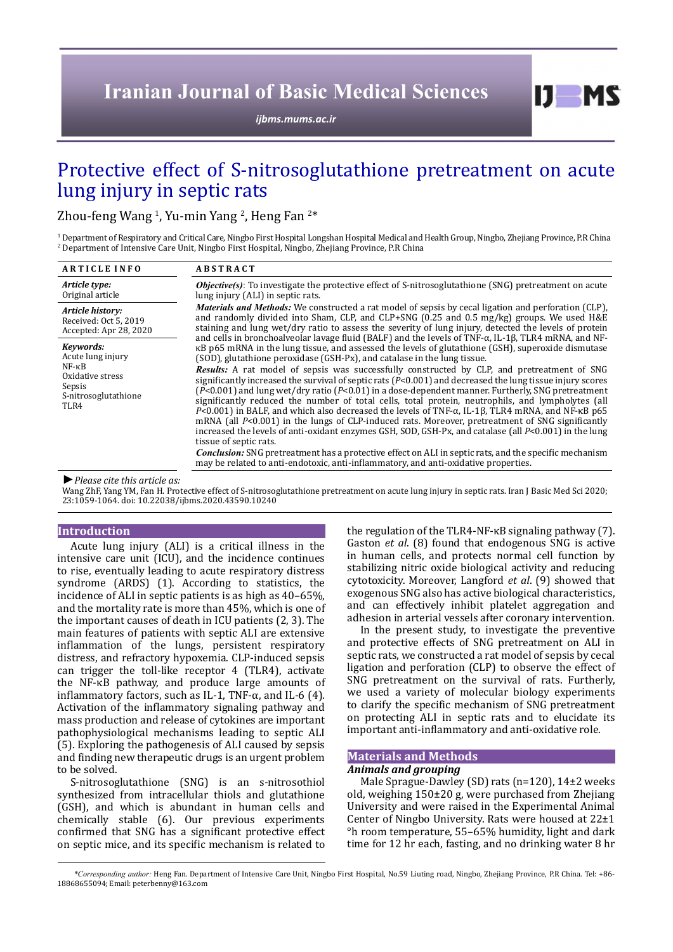# **Iranian Journal of Basic Medical Sciences**

*[ijbms.mums.ac.ir](http://ijbms.mums.ac.ir)*

# Protective effect of S-nitrosoglutathione pretreatment on acute lung injury in septic rats

Zhou-feng Wang <sup>1</sup>, Yu-min Yang <sup>2</sup>, Heng Fan <sup>2\*</sup>

1 Department of Respiratory and Critical Care, Ningbo First Hospital Longshan Hospital Medical and Health Group, Ningbo, Zhejiang Province, P.R China 2 Department of Intensive Care Unit, Ningbo First Hospital, Ningbo, Zhejiang Province, P.R China

| <b>ARTICLE INFO</b>                                                                                             | <b>ABSTRACT</b>                                                                                                                                                                                                                                                                                                                                                                                                                                                                                                                                                                                                                                                                                                                                                                                                                                                                                                                                                                                                                                                                                                                                                                                                                                                                                                                                                                                                                                                                                                                                                                                                                             |
|-----------------------------------------------------------------------------------------------------------------|---------------------------------------------------------------------------------------------------------------------------------------------------------------------------------------------------------------------------------------------------------------------------------------------------------------------------------------------------------------------------------------------------------------------------------------------------------------------------------------------------------------------------------------------------------------------------------------------------------------------------------------------------------------------------------------------------------------------------------------------------------------------------------------------------------------------------------------------------------------------------------------------------------------------------------------------------------------------------------------------------------------------------------------------------------------------------------------------------------------------------------------------------------------------------------------------------------------------------------------------------------------------------------------------------------------------------------------------------------------------------------------------------------------------------------------------------------------------------------------------------------------------------------------------------------------------------------------------------------------------------------------------|
| Article type:<br>Original article                                                                               | <b><i>Objective(s)</i></b> : To investigate the protective effect of S-nitrosoglutathione (SNG) pretreatment on acute<br>lung injury (ALI) in septic rats.                                                                                                                                                                                                                                                                                                                                                                                                                                                                                                                                                                                                                                                                                                                                                                                                                                                                                                                                                                                                                                                                                                                                                                                                                                                                                                                                                                                                                                                                                  |
| Article history:<br>Received: Oct 5, 2019<br>Accepted: Apr 28, 2020                                             | <i>Materials and Methods:</i> We constructed a rat model of sepsis by cecal ligation and perforation (CLP).<br>and randomly divided into Sham, CLP, and CLP+SNG $(0.25 \text{ and } 0.5 \text{ mg/kg})$ groups. We used H&E<br>staining and lung wet/dry ratio to assess the severity of lung injury, detected the levels of protein<br>and cells in bronchoalveolar lavage fluid (BALF) and the levels of TNF-α, IL-1β, TLR4 mRNA, and NF-<br>KB p65 mRNA in the lung tissue, and assessed the levels of glutathione (GSH), superoxide dismutase<br>(SOD), glutathione peroxidase (GSH-Px), and catalase in the lung tissue.<br><b>Results:</b> A rat model of sepsis was successfully constructed by CLP, and pretreatment of SNG<br>significantly increased the survival of septic rats $(P<0.001)$ and decreased the lung tissue injury scores<br>$(P<0.001)$ and lung wet/dry ratio $(P<0.01)$ in a dose-dependent manner. Furtherly, SNG pretreatment<br>significantly reduced the number of total cells, total protein, neutrophils, and lympholytes (all<br>$P<0.001$ in BALF, and which also decreased the levels of TNF- $\alpha$ , IL-1β, TLR4 mRNA, and NF- $\kappa$ B p65<br>mRNA (all $P<0.001$ ) in the lungs of CLP-induced rats. Moreover, pretreatment of SNG significantly<br>increased the levels of anti-oxidant enzymes GSH, SOD, GSH-Px, and catalase (all $P<0.001$ ) in the lung<br>tissue of septic rats.<br><b>Conclusion:</b> SNG pretreatment has a protective effect on ALI in septic rats, and the specific mechanism<br>may be related to anti-endotoxic, anti-inflammatory, and anti-oxidative properties. |
| Kevwords:<br>Acute lung injury<br>$NF - \kappa B$<br>Oxidative stress<br>Sepsis<br>S-nitrosoglutathione<br>TLR4 |                                                                                                                                                                                                                                                                                                                                                                                                                                                                                                                                                                                                                                                                                                                                                                                                                                                                                                                                                                                                                                                                                                                                                                                                                                                                                                                                                                                                                                                                                                                                                                                                                                             |

*►Please cite this article as:*

Wang ZhF, Yang YM, Fan H. Protective effect of S-nitrosoglutathione pretreatment on acute lung injury in septic rats. Iran J Basic Med Sci 2020; 23:1059-1064. doi: 10.22038/ijbms.2020.43590.10240

#### **Introduction**

Acute lung injury (ALI) is a critical illness in the intensive care unit (ICU), and the incidence continues to rise, eventually leading to acute respiratory distress syndrome (ARDS) (1). According to statistics, the incidence of ALI in septic patients is as high as 40–65%, and the mortality rate is more than 45%, which is one of the important causes of death in ICU patients (2, 3). The main features of patients with septic ALI are extensive inflammation of the lungs, persistent respiratory distress, and refractory hypoxemia. CLP-induced sepsis can trigger the toll-like receptor 4 (TLR4), activate the NF-κB pathway, and produce large amounts of inflammatory factors, such as IL-1, TNF- $\alpha$ , and IL-6 (4). Activation of the inflammatory signaling pathway and mass production and release of cytokines are important pathophysiological mechanisms leading to septic ALI (5). Exploring the pathogenesis of ALI caused by sepsis and finding new therapeutic drugs is an urgent problem to be solved.

S-nitrosoglutathione (SNG) is an s-nitrosothiol synthesized from intracellular thiols and glutathione (GSH), and which is abundant in human cells and chemically stable (6). Our previous experiments confirmed that SNG has a significant protective effect on septic mice, and its specific mechanism is related to

the regulation of the TLR4-NF-κB signaling pathway (7). Gaston *et al*. (8) found that endogenous SNG is active in human cells, and protects normal cell function by stabilizing nitric oxide biological activity and reducing cytotoxicity. Moreover, Langford *et al*. (9) showed that exogenous SNG also has active biological characteristics, and can effectively inhibit platelet aggregation and adhesion in arterial vessels after coronary intervention.

 $I$   $I$   $M$   $S$ 

In the present study, to investigate the preventive and protective effects of SNG pretreatment on ALI in septic rats, we constructed a rat model of sepsis by cecal ligation and perforation (CLP) to observe the effect of SNG pretreatment on the survival of rats. Furtherly, we used a variety of molecular biology experiments to clarify the specific mechanism of SNG pretreatment on protecting ALI in septic rats and to elucidate its important anti-inflammatory and anti-oxidative role.

## **Materials and Methods**

#### *Animals and grouping*

Male Sprague-Dawley (SD) rats (n=120), 14±2 weeks old, weighing 150±20 g, were purchased from Zhejiang University and were raised in the Experimental Animal Center of Ningbo University. Rats were housed at 22±1 °h room temperature, 55–65% humidity, light and dark time for 12 hr each, fasting, and no drinking water 8 hr

*\*Corresponding author:* Heng Fan. Department of Intensive Care Unit, Ningbo First Hospital, No.59 Liuting road, Ningbo, Zhejiang Province, P.R China. Tel: +86- 18868655094; Email: peterbenny@163.com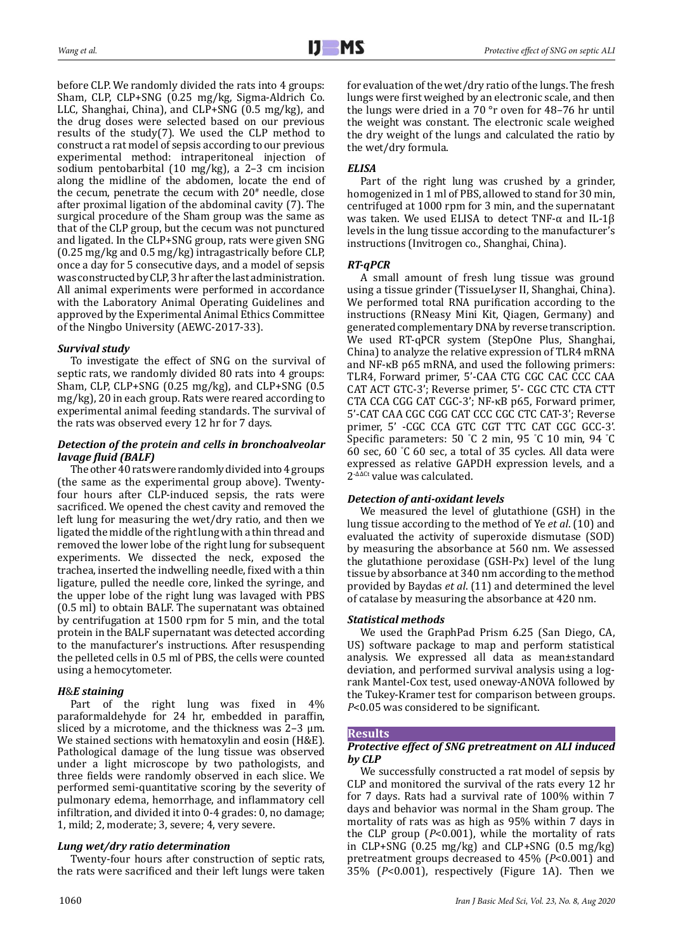before CLP. We randomly divided the rats into 4 groups: Sham, CLP, CLP+SNG (0.25 mg/kg, Sigma-Aldrich Co. LLC, Shanghai, China), and CLP+SNG (0.5 mg/kg), and the drug doses were selected based on our previous results of the study(7). We used the CLP method to construct a rat model of sepsis according to our previous experimental method: intraperitoneal injection of sodium pentobarbital (10 mg/kg), a 2–3 cm incision along the midline of the abdomen, locate the end of the cecum, penetrate the cecum with  $20<sup>\#</sup>$  needle, close after proximal ligation of the abdominal cavity (7). The surgical procedure of the Sham group was the same as that of the CLP group, but the cecum was not punctured and ligated. In the CLP+SNG group, rats were given SNG (0.25 mg/kg and 0.5 mg/kg) intragastrically before CLP, once a day for 5 consecutive days, and a model of sepsis was constructed by CLP, 3 hr after the last administration. All animal experiments were performed in accordance with the Laboratory Animal Operating Guidelines and approved by the Experimental Animal Ethics Committee of the Ningbo University (AEWC-2017-33).

## *Survival study*

To investigate the effect of SNG on the survival of septic rats, we randomly divided 80 rats into 4 groups: Sham, CLP, CLP+SNG (0.25 mg/kg), and CLP+SNG (0.5 mg/kg), 20 in each group. Rats were reared according to experimental animal feeding standards. The survival of the rats was observed every 12 hr for 7 days.

## *Detection of the protein and cells in bronchoalveolar lavage fluid (BALF)*

The other 40 rats were randomly divided into 4 groups (the same as the experimental group above). Twentyfour hours after CLP-induced sepsis, the rats were sacrificed. We opened the chest cavity and removed the left lung for measuring the wet/dry ratio, and then we ligated the middle of the right lung with a thin thread and removed the lower lobe of the right lung for subsequent experiments. We dissected the neck, exposed the trachea, inserted the indwelling needle, fixed with a thin ligature, pulled the needle core, linked the syringe, and the upper lobe of the right lung was lavaged with PBS (0.5 ml) to obtain BALF. The supernatant was obtained by centrifugation at 1500 rpm for 5 min, and the total protein in the BALF supernatant was detected according to the manufacturer's instructions. After resuspending the pelleted cells in 0.5 ml of PBS, the cells were counted using a hemocytometer.

## *H*&*E staining*

Part of the right lung was fixed in 4% paraformaldehyde for 24 hr, embedded in paraffin, sliced by a microtome, and the thickness was  $2-3 \mu m$ . We stained sections with hematoxylin and eosin (H&E). Pathological damage of the lung tissue was observed under a light microscope by two pathologists, and three fields were randomly observed in each slice. We performed semi-quantitative scoring by the severity of pulmonary edema, hemorrhage, and inflammatory cell infiltration, and divided it into 0-4 grades: 0, no damage; 1, mild; 2, moderate; 3, severe; 4, very severe.

# *Lung wet/dry ratio determination*

Twenty-four hours after construction of septic rats, the rats were sacrificed and their left lungs were taken for evaluation of the wet/dry ratio of the lungs. The fresh lungs were first weighed by an electronic scale, and then the lungs were dried in a 70 °r oven for 48–76 hr until the weight was constant. The electronic scale weighed the dry weight of the lungs and calculated the ratio by the wet/dry formula.

# *ELISA*

Part of the right lung was crushed by a grinder, homogenized in 1 ml of PBS, allowed to stand for 30 min, centrifuged at 1000 rpm for 3 min, and the supernatant was taken. We used ELISA to detect TNF-α and IL-1β levels in the lung tissue according to the manufacturer's instructions (Invitrogen co., Shanghai, China).

## *RT-qPCR*

A small amount of fresh lung tissue was ground using a tissue grinder (TissueLyser II, Shanghai, China). We performed total RNA purification according to the instructions (RNeasy Mini Kit, Qiagen, Germany) and generated complementary DNA by reverse transcription. We used RT-qPCR system (StepOne Plus, Shanghai, China) to analyze the relative expression of TLR4 mRNA and NF-κB p65 mRNA, and used the following primers: TLR4, Forward primer, 5'-CAA CTG CGC CAC CCC CAA CAT ACT GTC-3'; Reverse primer, 5'- CGC CTC CTA CTT CTA CCA CGG CAT CGC-3'; NF-κB p65, Forward primer, 5'-CAT CAA CGC CGG CAT CCC CGC CTC CAT-3'; Reverse primer, 5' -CGC CCA GTC CGT TTC CAT CGC GCC-3'. Specific parameters: 50 ° C 2 min, 95 ° C 10 min, 94 ° C 60 sec, 60 ° C 60 sec, a total of 35 cycles. All data were expressed as relative GAPDH expression levels, and a  $2^{-\Delta\Delta Ct}$  value was calculated.

## *Detection of anti-oxidant levels*

We measured the level of glutathione (GSH) in the lung tissue according to the method of Ye *et al*. (10) and evaluated the activity of superoxide dismutase (SOD) by measuring the absorbance at 560 nm. We assessed the glutathione peroxidase (GSH-Px) level of the lung tissue by absorbance at 340 nm according to the method provided by Baydas *et al*. (11) and determined the level of catalase by measuring the absorbance at 420 nm.

## *Statistical methods*

We used the GraphPad Prism 6.25 (San Diego, CA, US) software package to map and perform statistical analysis. We expressed all data as mean±standard deviation, and performed survival analysis using a logrank Mantel-Cox test, used oneway-ANOVA followed by the Tukey-Kramer test for comparison between groups. *P*<0.05 was considered to be significant.

## **Results**

## *Protective effect of SNG pretreatment on ALI induced by CLP*

We successfully constructed a rat model of sepsis by CLP and monitored the survival of the rats every 12 hr for 7 days. Rats had a survival rate of 100% within 7 days and behavior was normal in the Sham group. The mortality of rats was as high as 95% within 7 days in the CLP group (*P*<0.001), while the mortality of rats in CLP+SNG (0.25 mg/kg) and CLP+SNG (0.5 mg/kg) pretreatment groups decreased to 45% (*P*<0.001) and 35% (*P*<0.001), respectively (Figure 1A). Then we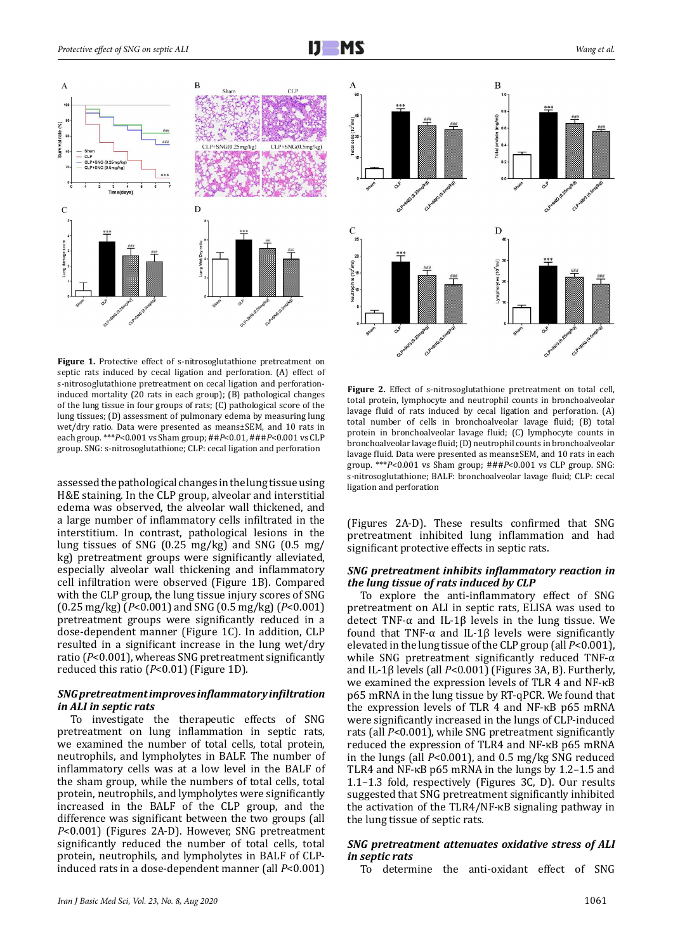

Figure 1. Protective effect of s-nitrosoglutathione pretreatment on septic rats induced by cecal ligation and perforation. (A) effect of s-nitrosoglutathione pretreatment on cecal ligation and perforationinduced mortality (20 rats in each group); (B) pathological changes of the lung tissue in four groups of rats; (C) pathological score of the lung tissues; (D) assessment of pulmonary edema by measuring lung wet/dry ratio. Data were presented as means±SEM, and 10 rats in each group. \*\*\**P*<0.001 vs Sham group; ##*P*<0.01, ###*P*<0.001 vs CLP group. SNG: s-nitrosoglutathione; CLP: cecal ligation and perforation

assessed the pathological changes in the lung tissue using H&E staining. In the CLP group, alveolar and interstitial edema was observed, the alveolar wall thickened, and a large number of inflammatory cells infiltrated in the interstitium. In contrast, pathological lesions in the lung tissues of SNG (0.25 mg/kg) and SNG (0.5 mg/ kg) pretreatment groups were significantly alleviated, especially alveolar wall thickening and inflammatory cell infiltration were observed (Figure 1B). Compared with the CLP group, the lung tissue injury scores of SNG (0.25 mg/kg) (*P*<0.001) and SNG (0.5 mg/kg) (*P*<0.001) pretreatment groups were significantly reduced in a dose-dependent manner (Figure 1C). In addition, CLP resulted in a significant increase in the lung wet/dry ratio (*P*<0.001), whereas SNG pretreatment significantly reduced this ratio (*P*<0.01) (Figure 1D).

#### *SNG pretreatment improves inflammatory infiltration in ALI in septic rats*

To investigate the therapeutic effects of SNG pretreatment on lung inflammation in septic rats, we examined the number of total cells, total protein, neutrophils, and lympholytes in BALF. The number of inflammatory cells was at a low level in the BALF of the sham group, while the numbers of total cells, total protein, neutrophils, and lympholytes were significantly increased in the BALF of the CLP group, and the difference was significant between the two groups (all *P*<0.001) (Figures 2A-D). However, SNG pretreatment significantly reduced the number of total cells, total protein, neutrophils, and lympholytes in BALF of CLPinduced rats in a dose-dependent manner (all *P*<0.001)



**Figure 2.** Effect of s-nitrosoglutathione pretreatment on total cell, total protein, lymphocyte and neutrophil counts in bronchoalveolar lavage fluid of rats induced by cecal ligation and perforation. (A) total number of cells in bronchoalveolar lavage fluid; (B) total protein in bronchoalveolar lavage fluid; (C) lymphocyte counts in bronchoalveolar lavage fluid; (D) neutrophil counts in bronchoalveolar lavage fluid. Data were presented as means±SEM, and 10 rats in each group. \*\*\**P*<0.001 vs Sham group; ###*P*<0.001 vs CLP group. SNG: s-nitrosoglutathione; BALF: bronchoalveolar lavage fluid; CLP: cecal ligation and perforation

(Figures 2A-D). These results confirmed that SNG pretreatment inhibited lung inflammation and had significant protective effects in septic rats.

#### *SNG pretreatment inhibits inflammatory reaction in the lung tissue of rats induced by CLP*

To explore the anti-inflammatory effect of SNG pretreatment on ALI in septic rats, ELISA was used to detect TNF-α and IL-1β levels in the lung tissue. We found that TNF-α and IL-1β levels were significantly elevated in the lung tissue of the CLP group (all *P*<0.001), while SNG pretreatment significantly reduced TNF-α and IL-1β levels (all *P*<0.001) (Figures 3A, B). Furtherly, we examined the expression levels of TLR 4 and NF-κB p65 mRNA in the lung tissue by RT-qPCR. We found that the expression levels of TLR 4 and NF-κB p65 mRNA were significantly increased in the lungs of CLP-induced rats (all *P*<0.001), while SNG pretreatment significantly reduced the expression of TLR4 and NF-κB p65 mRNA in the lungs (all *P*<0.001), and 0.5 mg/kg SNG reduced TLR4 and NF-κB p65 mRNA in the lungs by 1.2–1.5 and 1.1–1.3 fold, respectively (Figures 3C, D). Our results suggested that SNG pretreatment significantly inhibited the activation of the TLR4/NF-κB signaling pathway in the lung tissue of septic rats.

#### *SNG pretreatment attenuates oxidative stress of ALI in septic rats*

To determine the anti-oxidant effect of SNG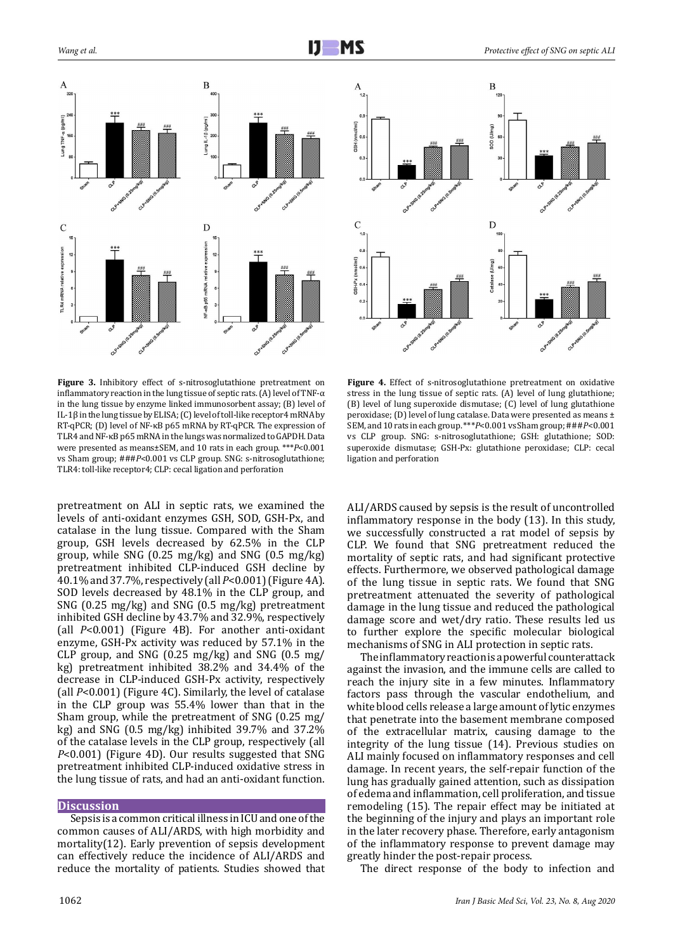



pretreatment on ALI in septic rats, we examined the levels of anti-oxidant enzymes GSH, SOD, GSH-Px, and catalase in the lung tissue. Compared with the Sham group, GSH levels decreased by 62.5% in the CLP group, while SNG (0.25 mg/kg) and SNG (0.5 mg/kg) pretreatment inhibited CLP-induced GSH decline by 40.1% and 37.7%, respectively (all *P*<0.001) (Figure 4A). SOD levels decreased by 48.1% in the CLP group, and SNG (0.25 mg/kg) and SNG (0.5 mg/kg) pretreatment inhibited GSH decline by 43.7% and 32.9%, respectively (all *P*<0.001) (Figure 4B). For another anti-oxidant enzyme, GSH-Px activity was reduced by 57.1% in the CLP group, and SNG  $(0.25 \text{ mg/kg})$  and SNG  $(0.5 \text{ mg/s})$ kg) pretreatment inhibited 38.2% and 34.4% of the decrease in CLP-induced GSH-Px activity, respectively (all *P*<0.001) (Figure 4C). Similarly, the level of catalase in the CLP group was 55.4% lower than that in the Sham group, while the pretreatment of SNG (0.25 mg/ kg) and SNG (0.5 mg/kg) inhibited 39.7% and 37.2% of the catalase levels in the CLP group, respectively (all *P*<0.001) (Figure 4D). Our results suggested that SNG pretreatment inhibited CLP-induced oxidative stress in the lung tissue of rats, and had an anti-oxidant function.

#### **Discussion**

Sepsis is a common critical illness in ICU and one of the common causes of ALI/ARDS, with high morbidity and mortality(12). Early prevention of sepsis development can effectively reduce the incidence of ALI/ARDS and reduce the mortality of patients. Studies showed that



**Figure 4.** Effect of s-nitrosoglutathione pretreatment on oxidative stress in the lung tissue of septic rats. (A) level of lung glutathione; (B) level of lung superoxide dismutase; (C) level of lung glutathione peroxidase; (D) level of lung catalase. Data were presented as means ± SEM, and 10 rats in each group. \*\*\**P*<0.001 vs Sham group; ###*P*<0.001 vs CLP group. SNG: s-nitrosoglutathione; GSH: glutathione; SOD: superoxide dismutase; GSH-Px: glutathione peroxidase; CLP: cecal ligation and perforation

ALI/ARDS caused by sepsis is the result of uncontrolled inflammatory response in the body (13). In this study, we successfully constructed a rat model of sepsis by CLP. We found that SNG pretreatment reduced the mortality of septic rats, and had significant protective effects. Furthermore, we observed pathological damage of the lung tissue in septic rats. We found that SNG pretreatment attenuated the severity of pathological damage in the lung tissue and reduced the pathological damage score and wet/dry ratio. These results led us to further explore the specific molecular biological mechanisms of SNG in ALI protection in septic rats.

The inflammatory reaction is a powerful counterattack against the invasion, and the immune cells are called to reach the injury site in a few minutes. Inflammatory factors pass through the vascular endothelium, and white blood cells release a large amount of lytic enzymes that penetrate into the basement membrane composed of the extracellular matrix, causing damage to the integrity of the lung tissue (14). Previous studies on ALI mainly focused on inflammatory responses and cell damage. In recent years, the self-repair function of the lung has gradually gained attention, such as dissipation of edema and inflammation, cell proliferation, and tissue remodeling (15). The repair effect may be initiated at the beginning of the injury and plays an important role in the later recovery phase. Therefore, early antagonism of the inflammatory response to prevent damage may greatly hinder the post-repair process.

The direct response of the body to infection and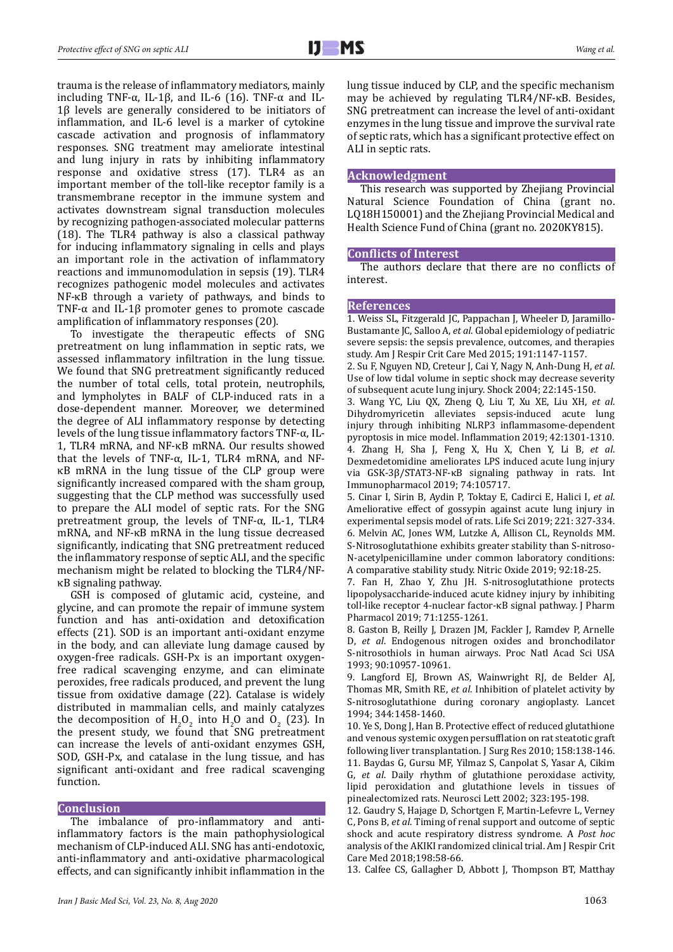trauma is the release of inflammatory mediators, mainly including TNF-α, IL-1β, and IL-6 (16). TNF-α and IL-1β levels are generally considered to be initiators of inflammation, and IL-6 level is a marker of cytokine cascade activation and prognosis of inflammatory responses. SNG treatment may ameliorate intestinal and lung injury in rats by inhibiting inflammatory response and oxidative stress (17). TLR4 as an important member of the toll-like receptor family is a transmembrane receptor in the immune system and activates downstream signal transduction molecules by recognizing pathogen-associated molecular patterns (18). The TLR4 pathway is also a classical pathway for inducing inflammatory signaling in cells and plays an important role in the activation of inflammatory reactions and immunomodulation in sepsis (19). TLR4 recognizes pathogenic model molecules and activates NF-κB through a variety of pathways, and binds to TNF- $\alpha$  and IL-1 $\beta$  promoter genes to promote cascade amplification of inflammatory responses (20).

To investigate the therapeutic effects of SNG pretreatment on lung inflammation in septic rats, we assessed inflammatory infiltration in the lung tissue. We found that SNG pretreatment significantly reduced the number of total cells, total protein, neutrophils, and lympholytes in BALF of CLP-induced rats in a dose-dependent manner. Moreover, we determined the degree of ALI inflammatory response by detecting levels of the lung tissue inflammatory factors TNF-α, IL-1, TLR4 mRNA, and NF-κB mRNA. Our results showed that the levels of TNF- $\alpha$ , IL-1, TLR4 mRNA, and NFκB mRNA in the lung tissue of the CLP group were significantly increased compared with the sham group, suggesting that the CLP method was successfully used to prepare the ALI model of septic rats. For the SNG pretreatment group, the levels of TNF-α, IL-1, TLR4 mRNA, and NF-κB mRNA in the lung tissue decreased significantly, indicating that SNG pretreatment reduced the inflammatory response of septic ALI, and the specific mechanism might be related to blocking the TLR4/NFκB signaling pathway.

GSH is composed of glutamic acid, cysteine, and glycine, and can promote the repair of immune system function and has anti-oxidation and detoxification effects (21). SOD is an important anti-oxidant enzyme in the body, and can alleviate lung damage caused by oxygen-free radicals. GSH-Px is an important oxygenfree radical scavenging enzyme, and can eliminate peroxides, free radicals produced, and prevent the lung tissue from oxidative damage (22). Catalase is widely distributed in mammalian cells, and mainly catalyzes the decomposition of  $H_2O_2$  into  $H_2O$  and  $O_2$  (23). In the present study, we found that SNG pretreatment can increase the levels of anti-oxidant enzymes GSH, SOD, GSH-Px, and catalase in the lung tissue, and has significant anti-oxidant and free radical scavenging function.

#### **Conclusion**

The imbalance of pro-inflammatory and antiinflammatory factors is the main pathophysiological mechanism of CLP-induced ALI. SNG has anti-endotoxic, anti-inflammatory and anti-oxidative pharmacological effects, and can significantly inhibit inflammation in the

lung tissue induced by CLP, and the specific mechanism may be achieved by regulating TLR4/NF-κB. Besides, SNG pretreatment can increase the level of anti-oxidant enzymes in the lung tissue and improve the survival rate of septic rats, which has a significant protective effect on ALI in septic rats.

#### **Acknowledgment**

This research was supported by Zhejiang Provincial Natural Science Foundation of China (grant no. LQ18H150001) and the Zhejiang Provincial Medical and Health Science Fund of China (grant no. 2020KY815).

#### **Conflicts of Interest**

The authors declare that there are no conflicts of interest.

#### **References**

1. Weiss SL, Fitzgerald JC, Pappachan J, Wheeler D, Jaramillo-Bustamante JC, Salloo A, *et al*. Global epidemiology of pediatric severe sepsis: the sepsis prevalence, outcomes, and therapies study. Am J Respir Crit Care Med 2015; 191:1147-1157.

2. Su F, Nguyen ND, Creteur J, Cai Y, Nagy N, Anh-Dung H, *et al*. Use of low tidal volume in septic shock may decrease severity of subsequent acute lung injury. Shock 2004; 22:145-150.

3. Wang YC, Liu QX, Zheng Q, Liu T, Xu XE, Liu XH, *et al*. Dihydromyricetin alleviates sepsis-induced acute lung injury through inhibiting NLRP3 inflammasome-dependent pyroptosis in mice model. Inflammation 2019; 42:1301-1310. 4. Zhang H, Sha J, Feng X, Hu X, Chen Y, Li B, *et al*. Dexmedetomidine ameliorates LPS induced acute lung injury via GSK-3β/STAT3-NF-κB signaling pathway in rats. Int Immunopharmacol 2019; 74:105717.

5. Cinar I, Sirin B, Aydin P, Toktay E, Cadirci E, Halici I, *et al*. Ameliorative effect of gossypin against acute lung injury in experimental sepsis model of rats. Life Sci 2019; 221: 327-334. 6. Melvin AC, Jones WM, Lutzke A, Allison CL, Reynolds MM. S-Nitrosoglutathione exhibits greater stability than S-nitroso-N-acetylpenicillamine under common laboratory conditions: A comparative stability study. Nitric Oxide 2019; 92:18-25.

7. Fan H, Zhao Y, Zhu JH. S-nitrosoglutathione protects lipopolysaccharide-induced acute kidney injury by inhibiting toll-like receptor 4-nuclear factor-κB signal pathway. J Pharm Pharmacol 2019; 71:1255-1261.

8. Gaston B, Reilly J, Drazen JM, Fackler J, Ramdev P, Arnelle D, *et al*. Endogenous nitrogen oxides and bronchodilator S-nitrosothiols in human airways. Proc Natl Acad Sci USA 1993; 90:10957-10961.

9. Langford EJ, Brown AS, Wainwright RJ, de Belder AJ, Thomas MR, Smith RE, *et al*. Inhibition of platelet activity by S-nitrosoglutathione during coronary angioplasty. Lancet 1994; 344:1458-1460.

10. Ye S, Dong J, Han B. Protective effect of reduced glutathione and venous systemic oxygen persufflation on rat steatotic graft following liver transplantation. J Surg Res 2010; 158:138-146. 11. Baydas G, Gursu MF, Yilmaz S, Canpolat S, Yasar A, Cikim G, *et al*. Daily rhythm of glutathione peroxidase activity, lipid peroxidation and glutathione levels in tissues of pinealectomized rats. Neurosci Lett 2002; 323:195-198.

12. Gaudry S, Hajage D, Schortgen F, Martin-Lefevre L, Verney C, Pons B, *et al*. Timing of renal support and outcome of septic shock and acute respiratory distress syndrome. A *Post hoc* analysis of the AKIKI randomized clinical trial. Am J Respir Crit Care Med 2018;198:58-66.

13. Calfee CS, Gallagher D, Abbott J, Thompson BT, Matthay